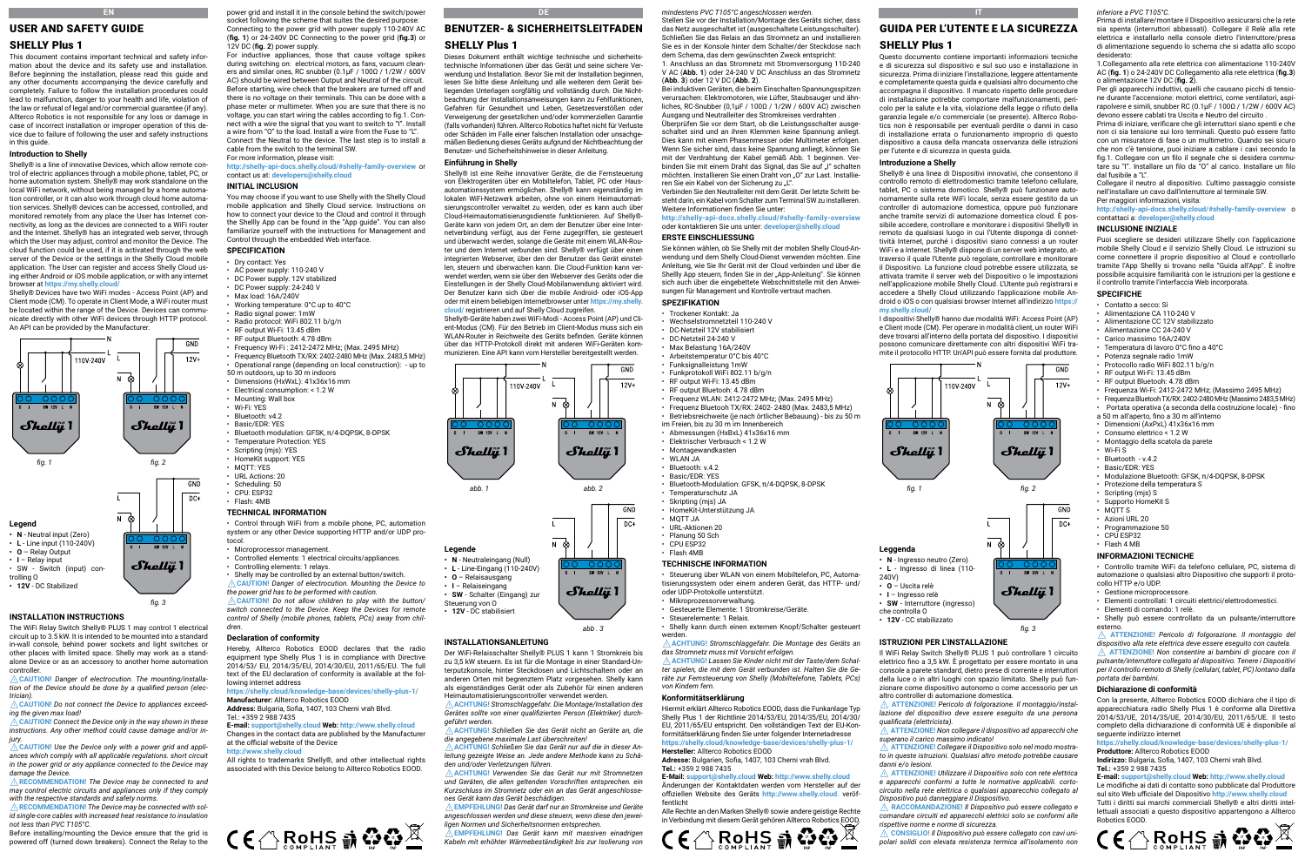## USER AND SAFETY GUIDE

### SHELLY Plus 1

This document contains important technical and safety information about the device and its safety use and installation. Before beginning the installation, please read this guide and any other documents accompanying the device carefully and completely. Failure to follow the installation procedures could lead to malfunction, danger to your health and life, violation of the law or refusal of legal and/or commercial guarantee (if any). Allterco Robotics is not responsible for any loss or damage in case of incorrect installation or improper operation of this device due to failure of following the user and safety instructions in this guide.

**EN EN** 

#### **Introduction to Shelly**

Shelly® is a line of innovative Devices, which allow remote control of electric appliances through a mobile phone, tablet, PC, or home automation system. Shelly® may work standalone on the local WiFi network, without being managed by a home automation controller, or it can also work through cloud home automation services. Shelly® devices can be accessed, controlled, and monitored remotely from any place the User has Internet connectivity, as long as the devices are connected to a WiFi router and the Internet. Shelly® has an integrated web server, through which the User may adjust, control and monitor the Device. The cloud function could be used, if it is activated through the web server of the Device or the settings in the Shelly Cloud mobile application. The User can register and access Shelly Cloud using either Android or iOS mobile application, or with any internet browser at **https://my.shelly.cloud/** 

Shelly® Devices have two WiFi modes - Access Point (AP) and Client mode (CM). To operate in Client Mode, a WiFi router must be located within the range of the Device. Devices can communicate directly with other WiFi devices through HTTP protocol. An API can be provided by the Manufacturer.



#### **INSTALLATION INSTRUCTIONS**

The WiFi Relay Switch Shelly® PLUS 1 may control 1 electrical circuit up to 3.5 kW. It is intended to be mounted into a standard in-wall console, behind power sockets and light switches or other places with limited space. Shelly may work as a standalone Device or as an accessory to another home automation controller. ⚠**CAUTION!** *Danger of electrocution. The mounting/installa-*

*tion of the Device should be done by a qualified person (electrician).* ⚠**CAUTION!** *Do not connect the Device to appliances exceed-*

*ing the given max load!* ⚠**CAUTION!** *Connect the Device only in the way shown in these* 

*instructions. Any other method could cause damage and/or in-*

*jury.* ⚠**CAUTION!** *Use the Device only with a power grid and appliances which comply with all applicable regulations. short circuit in the power grid or any appliance connected to the Device may damage the Device.*

⚠**RECOMMENDATION!** *Тhe Device may be connected to and may control electric circuits and appliances only if they comply with the respective standards and safety norms.*

⚠**RECOMMENDATION!** *The Device may be connected with solid single-core cables with increased heat resistance to insulation not less than PVC T105°C.*

Before installing/mounting the Device ensure that the grid is powered off (turned down breakers). Connect the Relay to the power grid and install it in the console behind the switch/power socket following the scheme that suites the desired purpose: Connecting to the power grid with power supply 110-240V AC (**fig. 1**) or 24-240V DC Connecting to the power grid (**fig.3**) or 12V DC (**fig. 2**) power supply.

For inductive appliances, those that cause voltage spikes during switching on: electrical motors, as fans, vacuum cleaners and similar ones, RC snubber (0.1µF / 100Ω / 1/2W / 600V AC) should be wired between Output and Neutral of the circuit. Before starting, wire check that the breakers are turned off and there is no voltage on their terminals. This can be done with a phase meter or multimeter. When you are sure that there is no voltage, you can start wiring the cables according to fig.1. Connect with a wire the signal that you want to switch to "I". Install a wire from "O" to the load. Install a wire from the Fuse to "L". Connect the Neutral to the device. The last step is to install a cable from the switch to the terminal SW. For more information, please visit:

**http://shelly-api-docs.shelly.cloud/#shelly-family-overview** or contact us at: **developers@shelly.cloud** 

### **INITIAL INCLUSION**

You may choose if you want to use Shelly with the Shelly Cloud mobile application and Shelly Cloud service. Instructions on how to connect your device to the Cloud and control it through the Shellly App can be found in the "App guide". You can also familiarize yourself with the instructions for Management and Control through the embedded Web interface.

#### **SPECIFICATION**

- Dry contact: Yes • AC power supply: 110-240 V
- DC Power supply: 12V stabilized
- DC Power supply: 24-240 V
- Max load: 16A/240V • Working temperature: 0°C up to 40°C
- Radio signal power: 1mW
- Radio protocol: WiFi 802.11 b/g/n
- RE output Wi-Fi: 13.45 dBm
- RE output Bluetooth: 4.78 dBm
- Frequency Wi-Fi · 2412-2472 MHz: (May. 2495 MHz)

• Frequency Bluetooth TX/RX: 2402-2480 MHz (Max. 2483,5 MHz) • Operational range (depending on local construction): - up to 50 m outdoors, up to 30 m indoors

- Dimensions (HxWxL): 41x36x16 mm • Electrical consumption: < 1.2 W
- Mounting: Wall box
- Wi-Fi: YES
- Bluetooth: v4.2
- Basic/EDR: YES
- Bluetooth modulation: GFSK, π/4-DQPSK, 8-DPSK
- Temperature Protection: YES • Scripting (mjs): YES
- HomeKit support: YES
- MOTT: YES
- URL Actions: 20 • Scheduling: 50
- CPU: ESP32 • Flash: 4MB

## **TECHNICAL INFORMATION**

• Control through WiFi from a mobile phone, PC, automation system or any other Device supporting HTTP and/or UDP protocol.

- Microprocessor management.
- Controlled elements: 1 electrical circuits/appliances.
- Controlling elements: 1 relays.
- Shelly may be controlled by an external button/switch. ⚠**CAUTION!** *Danger of electrocution. Mounting the Device to*
- *the power grid has to be performed with caution.*
- ⚠**CAUTION!** *Do not allow children to play with the button/ switch connected to the Device. Keep the Devices for remote*
- *control of Shelly (mobile phones, tablets, PCs) away from children.*

#### **Declaration of conformity**

Hereby, Allterco Robotics EOOD declares that the radio equipment type Shelly Plus 1 is in compliance with Directive 2014/53/ EU, 2014/35/EU, 2014/30/EU, 2011/65/EU. The full text of the EU declaration of conformity is available at the following internet address

#### **https://shelly.cloud/knowledge-base/devices/shelly-plus-1/ Manufacturer:** Allterco Robotics EOOD

**Address:** Bulgaria, Sofia, 1407, 103 Cherni vrah Blvd. Tel.: +359 2 988 7435

#### **E-mail: support@shelly.cloud Web: http://www.shelly.cloud** Changes in the contact data are published by the Manufacturer

at the official website of the Device **http://www.shelly.cloud** All rights to trademarks Shelly®, and other intellectual rights associated with this Device belong to Allterco Robotics EOOD.

 $\mathsf{CE} \cap \mathsf{RoHS}$  a  $\mathfrak{GB} \mathfrak{B}$ 

**DE DE DE** 

## BENUTZER- & SICHERHEITSLEITFADEN SHELLY Plus 1

Dieses Dokument enthält wichtige technische und sicherheitstechnische Informationen über das Gerät und seine sichere Verwendung und Installation. Bevor Sie mit der Installation beginnen, lesen Sie bitte diese Anleitung und alle weiteren dem Gerät beiliegenden Unterlagen sorgfältig und vollständig durch. Die Nichtbeachtung der Installationsanweisungen kann zu Fehlfunktionen, Gefahren für Gesundheit und Leben, Gesetzesverstößen oder Verweigerung der gesetzlichen und/oder kommerziellen Garantie (falls vorhanden) führen. Allterco Robotics haftet nicht für Verluste oder Schäden im Falle einer falschen Installation oder unsachgemäßen Bedienung dieses Geräts aufgrund der Nichtbeachtung der Benutzer- und Sicherheitshinweise in dieser Anleitung.

### **Einführung in Shelly**

Shelly® ist eine Reihe innovativer Geräte, die die Fernsteuerung von Elektrogeräten über ein Mobiltelefon, Tablet, PC oder Hausautomationssystem ermöglichen. Shelly® kann eigenständig im lokalen WiFi-Netzwerk arbeiten, ohne von einem Heimautomatisierungscontroller verwaltet zu werden, oder es kann auch über Cloud-Heimautomatisierungsdienste funktionieren. Auf Shelly®- Geräte kann von jedem Ort, an dem der Benutzer über eine Internetverbindung verfügt, aus der Ferne zugegriffen, sie gesteuert und überwacht werden, solange die Geräte mit einem WLAN-Router und dem Internet verbunden sind. Shelly® verfügt über einen integrierten Webserver, über den der Benutzer das Gerät einstellen, steuern und überwachen kann. Die Cloud-Funktion kann verwendet werden, wenn sie über den Webserver des Geräts oder die Einstellungen in der Shelly Cloud-Mobilanwendung aktiviert wird. Der Benutzer kann sich über die mobile Android- oder iOS-App oder mit einem beliebigen Internetbrowser unter **https://my.shelly. cloud/** registrieren und auf Shelly Cloud zugreifen.

Shelly®-Geräte haben zwei WiFi-Modi - Access Point (AP) und Client-Modus (CM). Für den Betrieb im Client-Modus muss sich ein WLAN-Router in Reichweite des Geräts befinden. Geräte können über das HTTP-Protokoll direkt mit anderen WiFi-Geräten kommunizieren. Eine API kann vom Hersteller bereitgestellt werden.





*abb . 3*

#### **INSTALLATIONSANLEITUNG**

**• 12V** - DC stabilisiert

**Legende**

Der WiFi-Relaisschalter Shelly® PLUS 1 kann 1 Stromkreis bis zu 3,5 kW steuern. Es ist für die Montage in einer Standard-Unterputzkonsole, hinter Steckdosen und Lichtschaltern oder an anderen Orten mit begrenztem Platz vorgesehen. Shelly kann als eigenständiges Gerät oder als Zubehör für einen anderen Heimautomatisierungscontroller verwendet werden.

⚠**ACHTUNG!** *Stromschlaggefahr. Die Montage/Installation des Gerätes sollte von einer qualifizierten Person (Elektriker) durchgeführt werden.*

⚠**ACHTUNG!** *Schließen Sie das Gerät nicht an Geräte an, die die angegebene maximale Last überschreiten!* ⚠**ACHTUNG!** *Schließen Sie das Gerät nur auf die in dieser An-*

*leitung gezeigte Weise an. Jede andere Methode kann zu Schäden und/oder Verletzungen führen.*

⚠**ACHTUNG!** *Verwenden Sie das Gerät nur mit Stromnetzen und Geräten, die allen geltenden Vorschriften entsprechen. ein Kurzschluss im Stromnetz oder ein an das Gerät angeschlossenes Gerät kann das Gerät beschädigen.*

⚠**EMPFEHLUNG!** *Das Gerät darf nur an Stromkreise und Geräte angeschlossen werden und diese steuern, wenn diese den jeweiligen Normen und Sicherheitsnormen entsprechen.*

⚠**EMPFEHLUNG!** *Das Gerät kann mit massiven einadrigen Kabeln mit erhöhter Wärmebeständigkeit bis zur Isolierung von*  *mindestens PVC T105°C angeschlossen werden.*

Stellen Sie vor der Installation/Montage des Geräts sicher, dass das Netz ausgeschaltet ist (ausgeschaltete Leistungsschalter). Schließen Sie das Relais an das Stromnetz an und installieren Sie es in der Konsole hinter dem Schalter/der Steckdose nach dem Schema, das dem gewünschten Zweck entspricht: 1. Anschluss an das Stromnetz mit Stromversorgung 110-240

**IT** GUIDA PER L'UTENTE E LA SICUREZZA

*inferiore a PVC T105°C.*

o alimentazione 12V DC (**fig. 2**).

Per maggiori informazioni, visita:

contattaci a: **developer@shelly.cloud INCLUSIONE INIZIALE**

desiderato:

dal fusibile a "L".

**SPECIFICHE** • Contatto a secco: Sì • Alimentazione CA 110-240 V • Alimentazione CC 12V stabilizzato • Alimentazione CC 24-240 V • Carico massimo 16A/240V • Temperatura di lavoro 0°C fino a 40°C • Potenza segnale radio 1mW • Protocollo radio WiFi 802.11 b/g/n • RF output Wi-Fi: 13.45 dBm • RF output Bluetooh: 4.78 dBm

• Wi-Fi S • Bluetooth - v.4.2 • Basic/EDR: YES

 $GND$ 

 $\overline{12V+}$ 

 $GMD$ 

 $\overline{DC}$ +

Prima di installare/montare il Dispositivo assicurarsi che la rete sia spenta (interruttori abbassati). Collegare il Relè alla rete elettrica e installarlo nella console dietro l'interruttore/presa di alimentazione seguendo lo schema che si adatta allo scopo

1.Collegamento alla rete elettrica con alimentazione 110-240V AC (**fig. 1**) o 24-240V DC Collegamento alla rete elettrica (**fig.3**)

Per gli apparecchi induttivi, quelli che causano picchi di tensione durante l'accensione: motori elettrici, come ventilatori, aspirapolvere e simili, snubber RC (0.1µF / 100Ω / 1/2W / 600V AC) devono essere cablati tra Uscita e Neutro del circuito . Prima di iniziare, verificare che gli interruttori siano spenti e che non ci sia tensione sui loro terminali. Questo può essere fatto con un misuratore di fase o un multimetro. Quando sei sicuro che non c'è tensione, puoi iniziare a cablare i cavi secondo la fig.1. Collegare con un filo il segnale che si desidera commutare su "I". Installare un filo da "O" al carico. Installare un filo

Collegare il neutro al dispositivo. L'ultimo passaggio consiste nell'installare un cavo dall'interruttore al terminale SW.

**http://shelly-api-docs.shelly.cloud/#shelly-family-overview** o

Puoi scegliere se desideri utilizzare Shelly con l'applicazione mobile Shelly Cloud e il servizio Shelly Cloud. Le istruzioni su come connettere il proprio dispositivo al Cloud e controllarlo tramite l'App Shellly si trovano nella "Guida all'App". È inoltre possibile acquisire familiarità con le istruzioni per la gestione e il controllo tramite l'interfaccia Web incorporata.

• Frequenza Wi-Fi: 2412-2472 МHz; (Massimo 2495 MHz) • Frequenza Bluetooh TX/RX: 2402-2480 MHz (Massimo 2483,5 MHz) • Portata operativa (a seconda della costruzione locale) - fino

• Modulazione Bluetooth: GFSK, π/4-DQPSK, 8-DPSK

• Controllo tramite WiFi da telefono cellulare, PC, sistema di automazione o qualsiasi altro Dispositivo che supporti il proto-

• Shelly può essere controllato da un pulsante/interruttore

⚠ **ATTENZIONE!** *Pericolo di folgorazione. Il montaggio del dispositivo alla rete elettrica deve essere eseguito con cautela.* ⚠ **ATTENZIONE!** *Non consentire ai bambini di giocare con il pulsante/interruttore collegato al dispositivo. Tenere i Dispositivi per il controllo remoto di Shelly (cellulari, tablet, PC) lontano dalla* 

Con la presente, Allterco Robotics EOOD dichiara che il tipo di apparecchiatura radio Shelly Plus 1 è conforme alla Direttiva 2014/53/UE, 2014/35/UE, 2014/30/EU, 2011/65/UE. Il testo completo della dichiarazione di conformità UE è disponibile al

**https://shelly.cloud/knowledge-base/devices/shelly-plus-1/**

**E-mail: support@shelly.cloud Web: http://www.shelly.cloud** Le modifiche ai dati di contatto sono pubblicate dal Produttore sul sito Web ufficiale del Dispositivo **http://www.shelly.cloud** Tutti i diritti sui marchi commerciali Shelly® e altri diritti intellettuali associati a questo dispositivo appartengono a Allterco **Robotics EOOD.**<br> $\mathsf{C}\mathsf{C}\!\!\!\!\!\triangleq\! \mathsf{R}\mathsf{o}\mathsf{H}\mathsf{S}\!\!\!\!\!\triangleq\mathsf{R}\mathsf{e}\!\!\!\!\triangleq\! \mathsf{R}\!\!\!\!\triangleq\! \mathsf{R}\!\!\!\!\triangleq\! \mathsf{R}\!\!\!\!\triangleleft\! \mathsf{H}\!\!\!\!\triangleleft\! \mathsf{R}\!\!\!\!\triangleleft\! \mathsf{H}\!\!\!\!\triangleleft\! \mathsf{R}\!\!\!\!\triangleleft\! \mathsf{H}\!\!\!\!\triangleleft\! \mathsf{H}\!\!\!\!\triangleleft\! \mathsf{H}\!\!\!\!\$ 

**Indirizzo:** Bulgaria, Sofia, 1407, 103 Cherni vrah Blvd.

• Elementi controllati: 1 circuiti elettrici/elettrodomestici.

a 50 m all'aperto, fino a 30 m all'interno • Dimensioni (AxPxL) 41x36x16 mm • Consumo elettrico < 1.2 W • Montaggio della scatola da parete

• Protezione della temperatura S • Scripting (mjs) S • Supporto HomeKit S  $·$  MOTTS • Azioni URL 20 • Programmazione 50 • CPU ESP32 • Flash 4 MB

**INFORMAZIONI TECNICHE**

• Elementi di comando: 1 relè.

collo HTTP e/o UDP. • Gestione microprocessore.

*portata dei bambini.* **Dichiarazione di conformità**

seguente indirizzo internet

**Tel.:** +359 2 988 7435

**Produttore:** Allterco Robotics EOOD

esterno.

Questo documento contiene importanti informazioni tecniche e di sicurezza sul dispositivo e sul suo uso e installazione in sicurezza. Prima di iniziare l'installazione, leggere attentamente e completamente questa guida e qualsiasi altro documento che accompagna il dispositivo. Il mancato rispetto delle procedure di installazione potrebbe comportare malfunzionamenti, pericolo per la salute e la vita, violazione della legge o rifiuto della garanzia legale e/o commerciale (se presente). Allterco Robotics non è responsabile per eventuali perdite o danni in caso di installazione errata o funzionamento improprio di questo dispositivo a causa della mancata osservanza delle istruzioni

Shelly® è una linea di Dispositivi innovativi, che consentono il controllo remoto di elettrodomestici tramite telefono cellulare, tablet, PC o sistema domotico. Shelly® può funzionare autonomamente sulla rete WiFi locale, senza essere gestito da un controller di automazione domestica, oppure può funzionare anche tramite servizi di automazione domestica cloud. È possibile accedere, controllare e monitorare i dispositivi Shelly® in remoto da qualsiasi luogo in cui l'Utente disponga di connettività Internet, purché i dispositivi siano connessi a un router WiFi e a Internet. Shelly® dispone di un server web integrato, attraverso il quale l'Utente può regolare, controllare e monitorare il Dispositivo. La funzione cloud potrebbe essere utilizzata, se attivata tramite il server web del Dispositivo o le impostazioni nell'applicazione mobile Shelly Cloud. L'Utente può registrarsi e accedere a Shelly Cloud utilizzando l'applicazione mobile Android o iOS o con qualsiasi browser Internet all'indirizzo **https://**

I dispositivi Shelly® hanno due modalità WiFi: Access Point (AP) e Client mode (CM). Per operare in modalità client, un router WiFi deve trovarsi all'interno della portata del dispositivo. I dispositivi possono comunicare direttamente con altri dispositivi WiFi tramite il protocollo HTTP. Un'API può essere fornita dal produttore.

៷៳

ᇄ

20 000

Sholli

SW 12V L

110V 240V

*fig. 1 fig. 2*

*fig. 3*

Shelliï

SW 12V 1

SHELLY Plus 1

**Introduzione a Shelly**

**my.shelly.cloud/**

 $\begin{array}{|c|c|c|c|}\hline\hline\text{OOO} & \text{OOOOO}\\ \hline 0&1&\text{SW 12Y L}\\ \hline \end{array}$ 

Shollij

**Leggenda**

240V) **• O** – Uscita relè **• I** – Ingresso relè **• SW** - Interruttore (ingresso) che controlla O **• 12V** - CC stabilizzato

**• N** - Ingresso neutro (Zero) **• L** - Ingresso di linea (110-

**ISTRUZIONI PER L'INSTALLAZIONE**

altro controller di automazione domestica.

*superano il carico massimo indicato!*

*Dispositivo può danneggiare il Dispositivo.*

*rispettive norme e norme di sicurezza.*

*qualificata (elettricista).*

*danni e/o lesioni.*

Il WiFi Relay Switch Shelly® PLUS 1 può controllare 1 circuito elettrico fino a 3,5 kW. È progettato per essere montato in una console a parete standard, dietro prese di corrente e interruttori della luce o in altri luoghi con spazio limitato. Shelly può funzionare come dispositivo autonomo o come accessorio per un

⚠ **ATTENZIONE!** *Pericolo di folgorazione. Il montaggio/installazione del dispositivo deve essere eseguito da una persona* 

⚠ **ATTENZIONE!** *Non collegare il dispositivo ad apparecchi che* 

⚠ **ATTENZIONE!** *Collegare il Dispositivo solo nel modo mostrato in queste istruzioni. Qualsiasi altro metodo potrebbe causare* 

⚠ **ATTENZIONE!** *Utilizzare il Dispositivo solo con rete elettrica e apparecchi conformi a tutte le normative applicabili. cortocircuito nella rete elettrica o qualsiasi apparecchio collegato al* 

⚠ **RACCOMANDAZIONE!** *Il Dispositivo può essere collegato e comandare circuiti ed apparecchi elettrici solo se conformi alle* 

⚠ **CONSIGLIO!** *Il Dispositivo può essere collegato con cavi unipolari solidi con elevata resistenza termica all'isolamento non* 

per l'utente e di sicurezza in questa guida.

V AC (**Abb. 1**) oder 24-240 V DC Anschluss an das Stromnetz (**Abb. 3**) oder 12 V DC (**Abb. 2**).

Bei induktiven Geräten, die beim Einschalten Spannungsspitzen verursachen: Elektromotoren, wie Lüfter, Staubsauger und ähnliches, RC-Snubber (0,1µF / 100Ω / 1/2W / 600V AC) zwischen Ausgang und Neutralleiter des Stromkreises verdrahten . Überprüfen Sie vor dem Start, ob die Leistungsschalter ausgeschaltet sind und an ihren Klemmen keine Spannung anliegt. Dies kann mit einem Phasenmesser oder Multimeter erfolgen. Wenn Sie sicher sind, dass keine Spannung anliegt, können Sie mit der Verdrahtung der Kabel gemäß Abb. 1 beginnen. Verbinden Sie mit einem Draht das Signal, das Sie auf "I" schalten möchten. Installieren Sie einen Draht von "O" zur Last. Installieren Sie ein Kabel von der Sicherung zu "L".

Verbinden Sie den Neutralleiter mit dem Gerät. Der letzte Schritt besteht darin, ein Kabel vom Schalter zum Terminal SW zu installieren. Weitere Informationen finden Sie unter: **http://shelly-api-docs.shelly.cloud/#shelly-family-overview** 

#### oder kontaktieren Sie uns unter: **developer@shelly.cloud ERSTE EINSCHLIESSUNG**

Sie können wählen, ob Sie Shelly mit der mobilen Shelly Cloud-Anwendung und dem Shelly Cloud-Dienst verwenden möchten. Eine Anleitung, wie Sie Ihr Gerät mit der Cloud verbinden und über die Shellly App steuern, finden Sie in der "App-Anleitung". Sie können sich auch über die eingebettete Webschnittstelle mit den Anweisungen für Management und Kontrolle vertraut machen.

### **SPEZIFIKATION**

- Trockener Kontakt: Ja • Wechselstromnetzteil 110-240 V
- DC-Netzteil 12V stabilisiert
- DC-Netzteil 24-240 V
- Max Belastung 16A/240V
- Arbeitstemperatur 0°C bis 40°C
- Funksignalleistung 1mW • Funkprotokoll WiFi 802.11 b/g/n
- RF output Wi-Fi: 13.45 dBm
- RF output Bluetooh: 4.78 dBm
- Frequenz WLAN: 2412-2472 MHz: (Max. 2495 MHz)
- Frequenz Bluetooh TX/RX: 2402- 2480 (Max. 2483,5 MHz)

• Steuerung über WLAN von einem Mobiltelefon, PC, Automatisierungssystem oder einem anderen Gerät, das HTTP- und/

• Shelly kann durch einen externen Knopf/Schalter gesteuert

⚠**ACHTUNG!** *Stromschlaggefahr. Die Montage des Geräts an* 

⚠**ACHTUNG!** *Lassen Sie Kinder nicht mit der Taste/dem Schalter spielen, die mit dem Gerät verbunden ist. Halten Sie die Geräte zur Fernsteuerung von Shelly (Mobiltelefone, Tablets, PCs)* 

Hiermit erklärt Allterco Robotics EOOD, dass die Funkanlage Typ Shelly Plus 1 der Richtlinie 2014/53/EU, 2014/35/EU, 2014/30/ EU, 2011/65/EU entspricht. Den vollständigen Text der EU-Konformitätserklärung finden Sie unter folgender Internetadresse **https://shelly.cloud/knowledge-base/devices/shelly-plus-1/**

**Adresse:** Bulgarien, Sofia, 1407, 103 Cherni vrah Blvd.

**E-Mail: support@shelly.cloud Web: http://www.shelly.cloud** Änderungen der Kontaktdaten werden vom Hersteller auf der offiziellen Website des Geräts **http://www.shelly.cloud.** veröf-

Alle Rechte an den Marken Shelly® sowie andere geistige Rechte In Verbindung mit diesem Gerät gehören Allterco Robotics EOOD.<br>
C C C C C C MP LIANT

- Betriebsreichweite (je nach örtlicher Bebauung) bis zu 50 m
- im Freien, bis zu 30 m im Innenbereich • Abmessungen (HxBxL) 41x36x16 mm
- Elektrischer Verbrauch < 1.2 W
- Montagewandkasten
- WLAN JA • Bluetooth: v.4.2

• MQTT JA • URL-Aktionen 20 • Planung 50 Sch • CPU ESP32 • Flash 4MB

werden.

*von Kindern fern.* **Konformitätserklärung**

- Basic/EDR: YES
- Bluetooth-Modulation: GFSK, π/4-DQPSK, 8-DPSK • Temperaturschutz JA • Skrinting (mis) JA

• HomeKit-Unterstützung JA

**TECHNISCHE INFORMATION**

oder UDP-Protokolle unterstützt. • Mikroprozessorverwaltung.

• Steuerelemente: 1 Relais.

• Gesteuerte Elemente: 1 Stromkreise/Geräte.

*das Stromnetz muss mit Vorsicht erfolgen.*

**Hersteller:** Allterco Robotics EOOD

**Tel.:** +359 2 988 7435

fentlicht